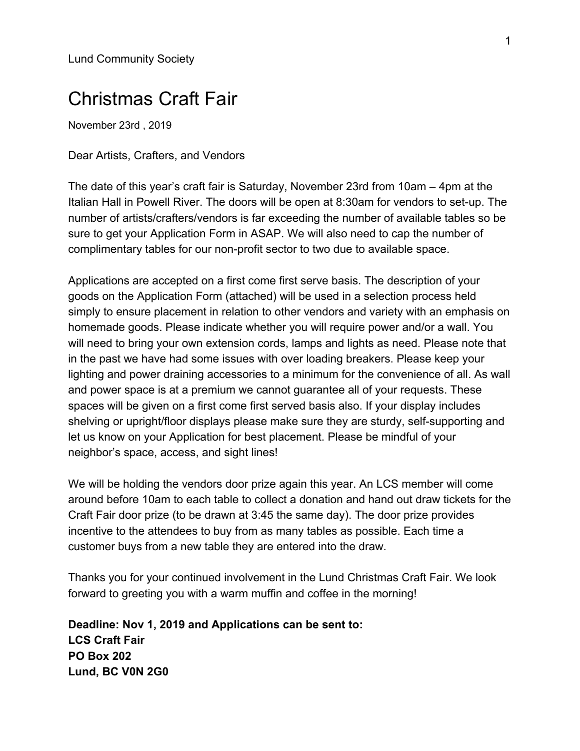Lund Community Society

## Christmas Craft Fair

November 23rd , 2019

Dear Artists, Crafters, and Vendors

The date of this year's craft fair is Saturday, November 23rd from 10am – 4pm at the Italian Hall in Powell River. The doors will be open at 8:30am for vendors to set-up. The number of artists/crafters/vendors is far exceeding the number of available tables so be sure to get your Application Form in ASAP. We will also need to cap the number of complimentary tables for our non-profit sector to two due to available space.

Applications are accepted on a first come first serve basis. The description of your goods on the Application Form (attached) will be used in a selection process held simply to ensure placement in relation to other vendors and variety with an emphasis on homemade goods. Please indicate whether you will require power and/or a wall. You will need to bring your own extension cords, lamps and lights as need. Please note that in the past we have had some issues with over loading breakers. Please keep your lighting and power draining accessories to a minimum for the convenience of all. As wall and power space is at a premium we cannot guarantee all of your requests. These spaces will be given on a first come first served basis also. If your display includes shelving or upright/floor displays please make sure they are sturdy, self-supporting and let us know on your Application for best placement. Please be mindful of your neighbor's space, access, and sight lines!

We will be holding the vendors door prize again this year. An LCS member will come around before 10am to each table to collect a donation and hand out draw tickets for the Craft Fair door prize (to be drawn at 3:45 the same day). The door prize provides incentive to the attendees to buy from as many tables as possible. Each time a customer buys from a new table they are entered into the draw.

Thanks you for your continued involvement in the Lund Christmas Craft Fair. We look forward to greeting you with a warm muffin and coffee in the morning!

**Deadline: Nov 1, 2019 and Applications can be sent to: LCS Craft Fair PO Box 202 Lund, BC V0N 2G0**